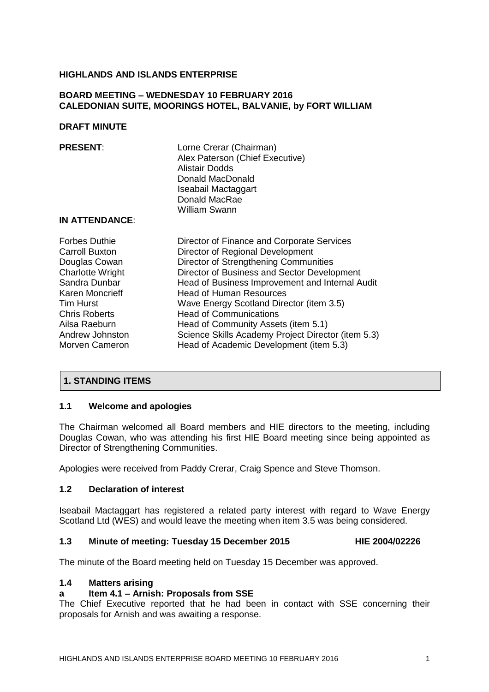### **HIGHLANDS AND ISLANDS ENTERPRISE**

### **BOARD MEETING – WEDNESDAY 10 FEBRUARY 2016 CALEDONIAN SUITE, MOORINGS HOTEL, BALVANIE, by FORT WILLIAM**

#### **DRAFT MINUTE**

| <b>PRESENT:</b><br><b>IN ATTENDANCE:</b> | Lorne Crerar (Chairman)<br>Alex Paterson (Chief Executive)<br>Alistair Dodds<br>Donald MacDonald<br>Iseabail Mactaggart<br>Donald MacRae<br><b>William Swann</b> |
|------------------------------------------|------------------------------------------------------------------------------------------------------------------------------------------------------------------|
| <b>Forbes Duthie</b>                     | Director of Finance and Corporate Services                                                                                                                       |
| Carroll Buxton                           | Director of Regional Development                                                                                                                                 |
| Douglas Cowan                            | Director of Strengthening Communities                                                                                                                            |
| <b>Charlotte Wright</b>                  | Director of Business and Sector Development                                                                                                                      |
| Sandra Dunbar                            | Head of Business Improvement and Internal Audit                                                                                                                  |
| Karen Moncrieff                          | <b>Head of Human Resources</b>                                                                                                                                   |
| <b>Tim Hurst</b>                         | Wave Energy Scotland Director (item 3.5)                                                                                                                         |
| <b>Chris Roberts</b>                     | <b>Head of Communications</b>                                                                                                                                    |
| Ailsa Raeburn                            | Head of Community Assets (item 5.1)                                                                                                                              |
| Andrew Johnston                          | Science Skills Academy Project Director (item 5.3)                                                                                                               |
| Morven Cameron                           | Head of Academic Development (item 5.3)                                                                                                                          |

## **1. STANDING ITEMS**

#### **1.1 Welcome and apologies**

The Chairman welcomed all Board members and HIE directors to the meeting, including Douglas Cowan, who was attending his first HIE Board meeting since being appointed as Director of Strengthening Communities.

Apologies were received from Paddy Crerar, Craig Spence and Steve Thomson.

#### **1.2 Declaration of interest**

Iseabail Mactaggart has registered a related party interest with regard to Wave Energy Scotland Ltd (WES) and would leave the meeting when item 3.5 was being considered.

#### **1.3 Minute of meeting: Tuesday 15 December 2015 HIE 2004/02226**

The minute of the Board meeting held on Tuesday 15 December was approved.

## **1.4 Matters arising**

#### **a Item 4.1 – Arnish: Proposals from SSE**

The Chief Executive reported that he had been in contact with SSE concerning their proposals for Arnish and was awaiting a response.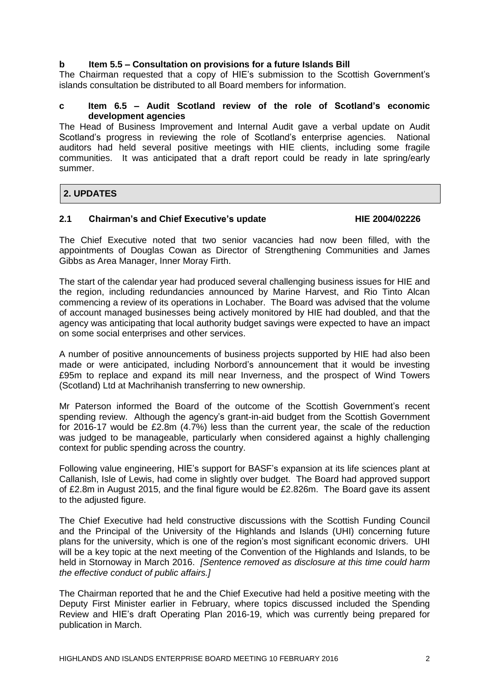## **b Item 5.5 – Consultation on provisions for a future Islands Bill**

The Chairman requested that a copy of HIE's submission to the Scottish Government's islands consultation be distributed to all Board members for information.

### **c Item 6.5 – Audit Scotland review of the role of Scotland's economic development agencies**

The Head of Business Improvement and Internal Audit gave a verbal update on Audit Scotland's progress in reviewing the role of Scotland's enterprise agencies. National auditors had held several positive meetings with HIE clients, including some fragile communities. It was anticipated that a draft report could be ready in late spring/early summer.

# **2. UPDATES**

## **2.1 Chairman's and Chief Executive's update HIE 2004/02226**

The Chief Executive noted that two senior vacancies had now been filled, with the appointments of Douglas Cowan as Director of Strengthening Communities and James Gibbs as Area Manager, Inner Moray Firth.

The start of the calendar year had produced several challenging business issues for HIE and the region, including redundancies announced by Marine Harvest, and Rio Tinto Alcan commencing a review of its operations in Lochaber. The Board was advised that the volume of account managed businesses being actively monitored by HIE had doubled, and that the agency was anticipating that local authority budget savings were expected to have an impact on some social enterprises and other services.

A number of positive announcements of business projects supported by HIE had also been made or were anticipated, including Norbord's announcement that it would be investing £95m to replace and expand its mill near Inverness, and the prospect of Wind Towers (Scotland) Ltd at Machrihanish transferring to new ownership.

Mr Paterson informed the Board of the outcome of the Scottish Government's recent spending review. Although the agency's grant-in-aid budget from the Scottish Government for 2016-17 would be £2.8m (4.7%) less than the current year, the scale of the reduction was judged to be manageable, particularly when considered against a highly challenging context for public spending across the country.

Following value engineering, HIE's support for BASF's expansion at its life sciences plant at Callanish, Isle of Lewis, had come in slightly over budget. The Board had approved support of £2.8m in August 2015, and the final figure would be £2.826m. The Board gave its assent to the adjusted figure.

The Chief Executive had held constructive discussions with the Scottish Funding Council and the Principal of the University of the Highlands and Islands (UHI) concerning future plans for the university, which is one of the region's most significant economic drivers. UHI will be a key topic at the next meeting of the Convention of the Highlands and Islands, to be held in Stornoway in March 2016. *[Sentence removed as disclosure at this time could harm the effective conduct of public affairs.]*

The Chairman reported that he and the Chief Executive had held a positive meeting with the Deputy First Minister earlier in February, where topics discussed included the Spending Review and HIE's draft Operating Plan 2016-19, which was currently being prepared for publication in March.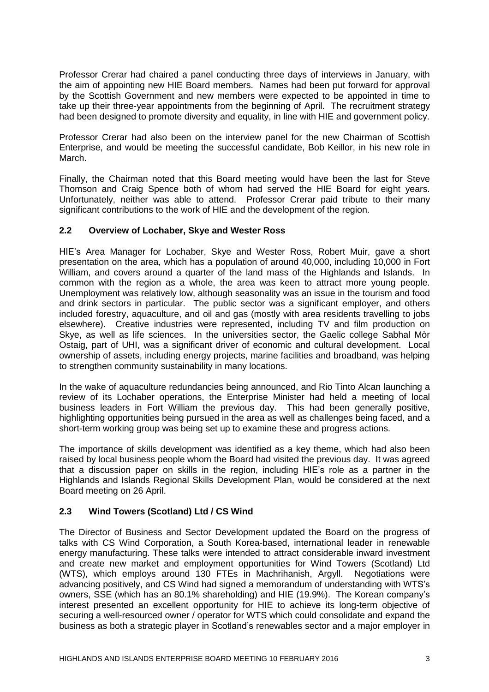Professor Crerar had chaired a panel conducting three days of interviews in January, with the aim of appointing new HIE Board members. Names had been put forward for approval by the Scottish Government and new members were expected to be appointed in time to take up their three-year appointments from the beginning of April. The recruitment strategy had been designed to promote diversity and equality, in line with HIE and government policy.

Professor Crerar had also been on the interview panel for the new Chairman of Scottish Enterprise, and would be meeting the successful candidate, Bob Keillor, in his new role in March.

Finally, the Chairman noted that this Board meeting would have been the last for Steve Thomson and Craig Spence both of whom had served the HIE Board for eight years. Unfortunately, neither was able to attend. Professor Crerar paid tribute to their many significant contributions to the work of HIE and the development of the region.

## **2.2 Overview of Lochaber, Skye and Wester Ross**

HIE's Area Manager for Lochaber, Skye and Wester Ross, Robert Muir, gave a short presentation on the area, which has a population of around 40,000, including 10,000 in Fort William, and covers around a quarter of the land mass of the Highlands and Islands. In common with the region as a whole, the area was keen to attract more young people. Unemployment was relatively low, although seasonality was an issue in the tourism and food and drink sectors in particular. The public sector was a significant employer, and others included forestry, aquaculture, and oil and gas (mostly with area residents travelling to jobs elsewhere). Creative industries were represented, including TV and film production on Skye, as well as life sciences. In the universities sector, the Gaelic college Sabhal Mòr Ostaig, part of UHI, was a significant driver of economic and cultural development. Local ownership of assets, including energy projects, marine facilities and broadband, was helping to strengthen community sustainability in many locations.

In the wake of aquaculture redundancies being announced, and Rio Tinto Alcan launching a review of its Lochaber operations, the Enterprise Minister had held a meeting of local business leaders in Fort William the previous day. This had been generally positive, highlighting opportunities being pursued in the area as well as challenges being faced, and a short-term working group was being set up to examine these and progress actions.

The importance of skills development was identified as a key theme, which had also been raised by local business people whom the Board had visited the previous day. It was agreed that a discussion paper on skills in the region, including HIE's role as a partner in the Highlands and Islands Regional Skills Development Plan, would be considered at the next Board meeting on 26 April.

# **2.3 Wind Towers (Scotland) Ltd / CS Wind**

The Director of Business and Sector Development updated the Board on the progress of talks with CS Wind Corporation, a South Korea-based, international leader in renewable energy manufacturing. These talks were intended to attract considerable inward investment and create new market and employment opportunities for Wind Towers (Scotland) Ltd (WTS), which employs around 130 FTEs in Machrihanish, Argyll. Negotiations were advancing positively, and CS Wind had signed a memorandum of understanding with WTS's owners, SSE (which has an 80.1% shareholding) and HIE (19.9%). The Korean company's interest presented an excellent opportunity for HIE to achieve its long-term objective of securing a well-resourced owner / operator for WTS which could consolidate and expand the business as both a strategic player in Scotland's renewables sector and a major employer in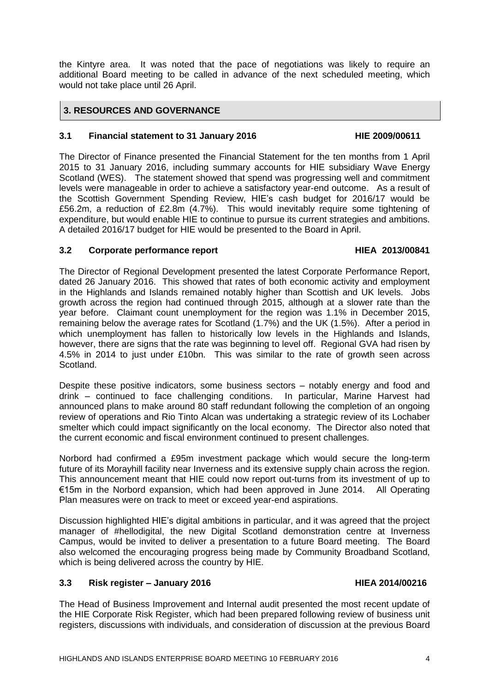the Kintyre area. It was noted that the pace of negotiations was likely to require an additional Board meeting to be called in advance of the next scheduled meeting, which would not take place until 26 April.

# **3. RESOURCES AND GOVERNANCE**

## **3.1 Financial statement to 31 January 2016 HIE 2009/00611**

The Director of Finance presented the Financial Statement for the ten months from 1 April 2015 to 31 January 2016, including summary accounts for HIE subsidiary Wave Energy Scotland (WES). The statement showed that spend was progressing well and commitment levels were manageable in order to achieve a satisfactory year-end outcome. As a result of the Scottish Government Spending Review, HIE's cash budget for 2016/17 would be £56.2m, a reduction of £2.8m (4.7%). This would inevitably require some tightening of expenditure, but would enable HIE to continue to pursue its current strategies and ambitions. A detailed 2016/17 budget for HIE would be presented to the Board in April.

## **3.2 Corporate performance report HIEA 2013/00841**

The Director of Regional Development presented the latest Corporate Performance Report, dated 26 January 2016. This showed that rates of both economic activity and employment in the Highlands and Islands remained notably higher than Scottish and UK levels. Jobs growth across the region had continued through 2015, although at a slower rate than the year before. Claimant count unemployment for the region was 1.1% in December 2015, remaining below the average rates for Scotland (1.7%) and the UK (1.5%). After a period in which unemployment has fallen to historically low levels in the Highlands and Islands, however, there are signs that the rate was beginning to level off. Regional GVA had risen by 4.5% in 2014 to just under £10bn. This was similar to the rate of growth seen across Scotland.

Despite these positive indicators, some business sectors – notably energy and food and drink – continued to face challenging conditions. In particular, Marine Harvest had announced plans to make around 80 staff redundant following the completion of an ongoing review of operations and Rio Tinto Alcan was undertaking a strategic review of its Lochaber smelter which could impact significantly on the local economy. The Director also noted that the current economic and fiscal environment continued to present challenges.

Norbord had confirmed a £95m investment package which would secure the long-term future of its Morayhill facility near Inverness and its extensive supply chain across the region. This announcement meant that HIE could now report out-turns from its investment of up to €15m in the Norbord expansion, which had been approved in June 2014. All Operating Plan measures were on track to meet or exceed year-end aspirations.

Discussion highlighted HIE's digital ambitions in particular, and it was agreed that the project manager of #hellodigital, the new Digital Scotland demonstration centre at Inverness Campus, would be invited to deliver a presentation to a future Board meeting. The Board also welcomed the encouraging progress being made by Community Broadband Scotland, which is being delivered across the country by HIE.

# **3.3 Risk register – January 2016 HIEA 2014/00216**

The Head of Business Improvement and Internal audit presented the most recent update of the HIE Corporate Risk Register, which had been prepared following review of business unit registers, discussions with individuals, and consideration of discussion at the previous Board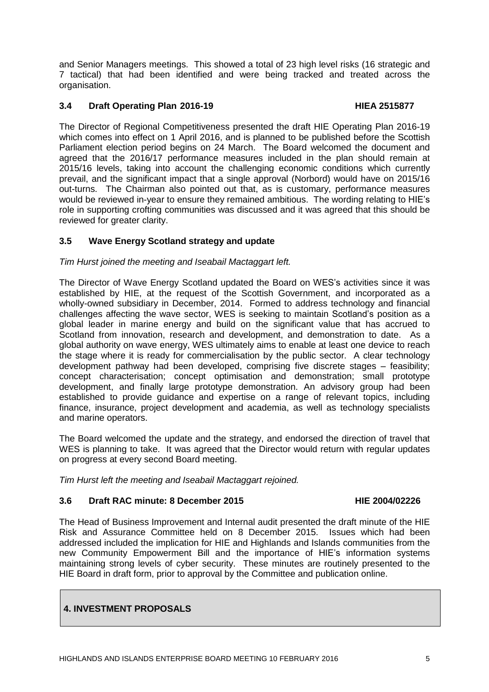and Senior Managers meetings. This showed a total of 23 high level risks (16 strategic and 7 tactical) that had been identified and were being tracked and treated across the organisation.

## **3.4 Draft Operating Plan 2016-19 HIEA 2515877**

The Director of Regional Competitiveness presented the draft HIE Operating Plan 2016-19 which comes into effect on 1 April 2016, and is planned to be published before the Scottish Parliament election period begins on 24 March. The Board welcomed the document and agreed that the 2016/17 performance measures included in the plan should remain at 2015/16 levels, taking into account the challenging economic conditions which currently prevail, and the significant impact that a single approval (Norbord) would have on 2015/16 out-turns. The Chairman also pointed out that, as is customary, performance measures would be reviewed in-year to ensure they remained ambitious. The wording relating to HIE's role in supporting crofting communities was discussed and it was agreed that this should be reviewed for greater clarity.

# **3.5 Wave Energy Scotland strategy and update**

*Tim Hurst joined the meeting and Iseabail Mactaggart left.*

The Director of Wave Energy Scotland updated the Board on WES's activities since it was established by HIE, at the request of the Scottish Government, and incorporated as a wholly-owned subsidiary in December, 2014. Formed to address technology and financial challenges affecting the wave sector, WES is seeking to maintain Scotland's position as a global leader in marine energy and build on the significant value that has accrued to Scotland from innovation, research and development, and demonstration to date. As a global authority on wave energy, WES ultimately aims to enable at least one device to reach the stage where it is ready for commercialisation by the public sector. A clear technology development pathway had been developed, comprising five discrete stages – feasibility; concept characterisation; concept optimisation and demonstration; small prototype development, and finally large prototype demonstration. An advisory group had been established to provide guidance and expertise on a range of relevant topics, including finance, insurance, project development and academia, as well as technology specialists and marine operators.

The Board welcomed the update and the strategy, and endorsed the direction of travel that WES is planning to take. It was agreed that the Director would return with regular updates on progress at every second Board meeting.

*Tim Hurst left the meeting and Iseabail Mactaggart rejoined.*

## **3.6 Draft RAC minute: 8 December 2015 HIE 2004/02226**

The Head of Business Improvement and Internal audit presented the draft minute of the HIE Risk and Assurance Committee held on 8 December 2015. Issues which had been addressed included the implication for HIE and Highlands and Islands communities from the new Community Empowerment Bill and the importance of HIE's information systems maintaining strong levels of cyber security. These minutes are routinely presented to the HIE Board in draft form, prior to approval by the Committee and publication online.

# **4. INVESTMENT PROPOSALS**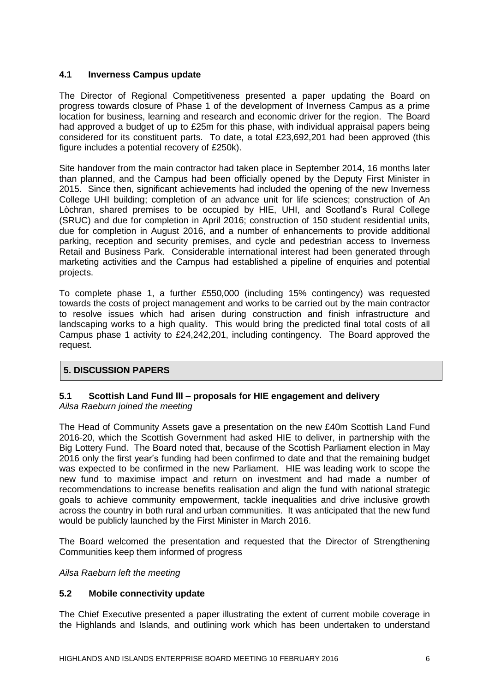## **4.1 Inverness Campus update**

The Director of Regional Competitiveness presented a paper updating the Board on progress towards closure of Phase 1 of the development of Inverness Campus as a prime location for business, learning and research and economic driver for the region. The Board had approved a budget of up to £25m for this phase, with individual appraisal papers being considered for its constituent parts. To date, a total £23,692,201 had been approved (this figure includes a potential recovery of £250k).

Site handover from the main contractor had taken place in September 2014, 16 months later than planned, and the Campus had been officially opened by the Deputy First Minister in 2015. Since then, significant achievements had included the opening of the new Inverness College UHI building; completion of an advance unit for life sciences; construction of An Lòchran, shared premises to be occupied by HIE, UHI, and Scotland's Rural College (SRUC) and due for completion in April 2016; construction of 150 student residential units, due for completion in August 2016, and a number of enhancements to provide additional parking, reception and security premises, and cycle and pedestrian access to Inverness Retail and Business Park. Considerable international interest had been generated through marketing activities and the Campus had established a pipeline of enquiries and potential projects.

To complete phase 1, a further £550,000 (including 15% contingency) was requested towards the costs of project management and works to be carried out by the main contractor to resolve issues which had arisen during construction and finish infrastructure and landscaping works to a high quality. This would bring the predicted final total costs of all Campus phase 1 activity to £24,242,201, including contingency. The Board approved the request.

# **5. DISCUSSION PAPERS**

# **5.1 Scottish Land Fund lll – proposals for HIE engagement and delivery** *Ailsa Raeburn joined the meeting*

The Head of Community Assets gave a presentation on the new £40m Scottish Land Fund 2016-20, which the Scottish Government had asked HIE to deliver, in partnership with the Big Lottery Fund. The Board noted that, because of the Scottish Parliament election in May 2016 only the first year's funding had been confirmed to date and that the remaining budget was expected to be confirmed in the new Parliament. HIE was leading work to scope the new fund to maximise impact and return on investment and had made a number of recommendations to increase benefits realisation and align the fund with national strategic goals to achieve community empowerment, tackle inequalities and drive inclusive growth across the country in both rural and urban communities. It was anticipated that the new fund would be publicly launched by the First Minister in March 2016.

The Board welcomed the presentation and requested that the Director of Strengthening Communities keep them informed of progress

*Ailsa Raeburn left the meeting*

## **5.2 Mobile connectivity update**

The Chief Executive presented a paper illustrating the extent of current mobile coverage in the Highlands and Islands, and outlining work which has been undertaken to understand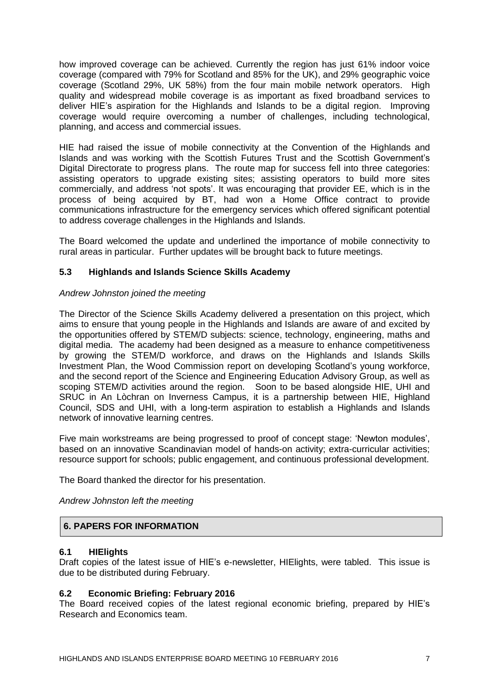how improved coverage can be achieved. Currently the region has just 61% indoor voice coverage (compared with 79% for Scotland and 85% for the UK), and 29% geographic voice coverage (Scotland 29%, UK 58%) from the four main mobile network operators. High quality and widespread mobile coverage is as important as fixed broadband services to deliver HIE's aspiration for the Highlands and Islands to be a digital region. Improving coverage would require overcoming a number of challenges, including technological, planning, and access and commercial issues.

HIE had raised the issue of mobile connectivity at the Convention of the Highlands and Islands and was working with the Scottish Futures Trust and the Scottish Government's Digital Directorate to progress plans. The route map for success fell into three categories: assisting operators to upgrade existing sites; assisting operators to build more sites commercially, and address 'not spots'. It was encouraging that provider EE, which is in the process of being acquired by BT, had won a Home Office contract to provide communications infrastructure for the emergency services which offered significant potential to address coverage challenges in the Highlands and Islands.

The Board welcomed the update and underlined the importance of mobile connectivity to rural areas in particular. Further updates will be brought back to future meetings.

## **5.3 Highlands and Islands Science Skills Academy**

## *Andrew Johnston joined the meeting*

The Director of the Science Skills Academy delivered a presentation on this project, which aims to ensure that young people in the Highlands and Islands are aware of and excited by the opportunities offered by STEM/D subjects: science, technology, engineering, maths and digital media. The academy had been designed as a measure to enhance competitiveness by growing the STEM/D workforce, and draws on the Highlands and Islands Skills Investment Plan, the Wood Commission report on developing Scotland's young workforce, and the second report of the Science and Engineering Education Advisory Group, as well as scoping STEM/D activities around the region. Soon to be based alongside HIE, UHI and SRUC in An Lòchran on Inverness Campus, it is a partnership between HIE, Highland Council, SDS and UHI, with a long-term aspiration to establish a Highlands and Islands network of innovative learning centres.

Five main workstreams are being progressed to proof of concept stage: 'Newton modules', based on an innovative Scandinavian model of hands-on activity; extra-curricular activities; resource support for schools; public engagement, and continuous professional development.

The Board thanked the director for his presentation.

*Andrew Johnston left the meeting*

## **6. PAPERS FOR INFORMATION**

## **6.1 HIElights**

Draft copies of the latest issue of HIE's e-newsletter, HIElights, were tabled. This issue is due to be distributed during February.

## **6.2 Economic Briefing: February 2016**

The Board received copies of the latest regional economic briefing, prepared by HIE's Research and Economics team.